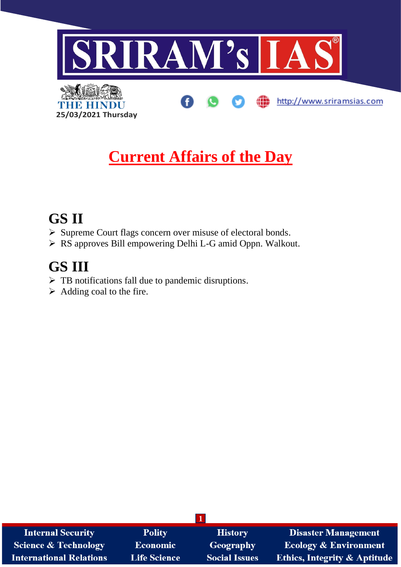

# **Current Affairs of the Day**

### **GS II**

- ➢ Supreme Court flags concern over misuse of electoral bonds.
- ➢ RS approves Bill empowering Delhi L-G amid Oppn. Walkout.

# **GS III**

- ➢ TB notifications fall due to pandemic disruptions.
- $\triangleright$  Adding coal to the fire.

**25/03/2021 Thursday**

| <b>Internal Security</b>        | <b>Polity</b>       | <b>History</b>       | <b>Disaster Management</b>              |
|---------------------------------|---------------------|----------------------|-----------------------------------------|
| <b>Science &amp; Technology</b> | <b>Economic</b>     | Geography            | <b>Ecology &amp; Environment</b>        |
| <b>International Relations</b>  | <b>Life Science</b> | <b>Social Issues</b> | <b>Ethics, Integrity &amp; Aptitude</b> |

**1**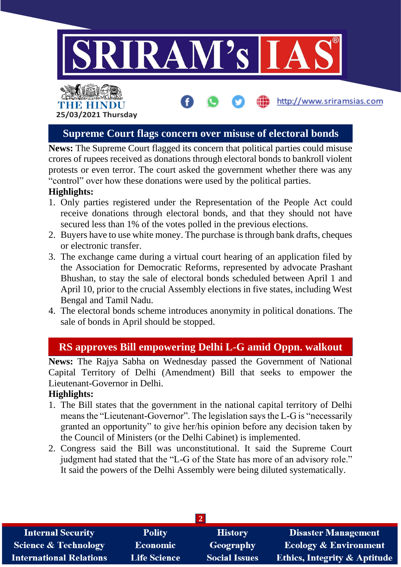

# THE HINDI **25/03/2021 Thursday**

#### **Supreme Court flags concern over misuse of electoral bonds**

http://www.sriramsias.com

**News:** The Supreme Court flagged its concern that political parties could misuse crores of rupees received as donations through electoral bonds to bankroll violent protests or even terror. The court asked the government whether there was any "control" over how these donations were used by the political parties.

#### **Highlights:**

- 1. Only parties registered under the Representation of the People Act could receive donations through electoral bonds, and that they should not have secured less than 1% of the votes polled in the previous elections.
- 2. Buyers have to use white money. The purchase is through bank drafts, cheques or electronic transfer.
- 3. The exchange came during a virtual court hearing of an application filed by the Association for Democratic Reforms, represented by advocate Prashant Bhushan, to stay the sale of electoral bonds scheduled between April 1 and April 10, prior to the crucial Assembly elections in five states, including West Bengal and Tamil Nadu.
- 4. The electoral bonds scheme introduces anonymity in political donations. The sale of bonds in April should be stopped.

### **RS approves Bill empowering Delhi L-G amid Oppn. walkout**

**News:** The Rajya Sabha on Wednesday passed the Government of National Capital Territory of Delhi (Amendment) Bill that seeks to empower the Lieutenant-Governor in Delhi.

#### **Highlights:**

- 1. The Bill states that the government in the national capital territory of Delhi means the "Lieutenant-Governor". The legislation says the L-G is "necessarily granted an opportunity" to give her/his opinion before any decision taken by the Council of Ministers (or the Delhi Cabinet) is implemented.
- 2. Congress said the Bill was unconstitutional. It said the Supreme Court judgment had stated that the "L-G of the State has more of an advisory role." It said the powers of the Delhi Assembly were being diluted systematically.

| <b>Internal Security</b>        | <b>Polity</b>       | <b>History</b>       | <b>Disaster Management</b>              |
|---------------------------------|---------------------|----------------------|-----------------------------------------|
| <b>Science &amp; Technology</b> | <b>Economic</b>     | <b>Geography</b>     | <b>Ecology &amp; Environment</b>        |
| <b>International Relations</b>  | <b>Life Science</b> | <b>Social Issues</b> | <b>Ethics, Integrity &amp; Aptitude</b> |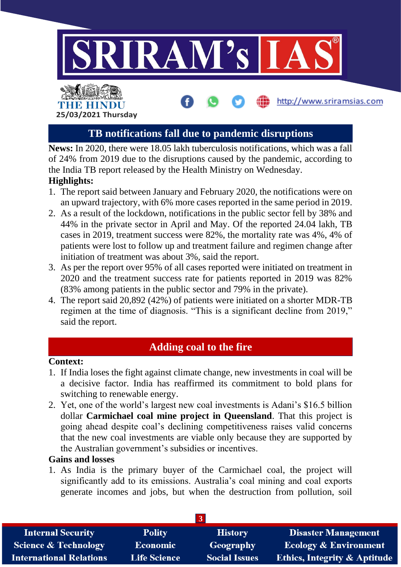

### **TB notifications fall due to pandemic disruptions**

**News:** In 2020, there were 18.05 lakh tuberculosis notifications, which was a fall of 24% from 2019 due to the disruptions caused by the pandemic, according to the India TB report released by the Health Ministry on Wednesday. **Highlights:**

- 1. The report said between January and February 2020, the notifications were on an upward trajectory, with 6% more cases reported in the same period in 2019.
- 2. As a result of the lockdown, notifications in the public sector fell by 38% and 44% in the private sector in April and May. Of the reported 24.04 lakh, TB cases in 2019, treatment success were 82%, the mortality rate was 4%, 4% of patients were lost to follow up and treatment failure and regimen change after initiation of treatment was about 3%, said the report.
- 3. As per the report over 95% of all cases reported were initiated on treatment in 2020 and the treatment success rate for patients reported in 2019 was 82% (83% among patients in the public sector and 79% in the private).
- 4. The report said 20,892 (42%) of patients were initiated on a shorter MDR-TB regimen at the time of diagnosis. "This is a significant decline from 2019," said the report.

### **Adding coal to the fire**

#### **Context:**

**25/03/2021 Thursday**

- 1. If India loses the fight against climate change, new investments in coal will be a decisive factor. India has reaffirmed its commitment to bold plans for switching to renewable energy.
- 2. Yet, one of the world's largest new coal investments is Adani's \$16.5 billion dollar **Carmichael coal mine project in Queensland**. That this project is going ahead despite coal's declining competitiveness raises valid concerns that the new coal investments are viable only because they are supported by the Australian government's subsidies or incentives.

#### **Gains and losses**

1. As India is the primary buyer of the Carmichael coal, the project will significantly add to its emissions. Australia's coal mining and coal exports generate incomes and jobs, but when the destruction from pollution, soil

| <b>Internal Security</b>        | <b>Polity</b>       | <b>History</b>       | <b>Disaster Management</b>              |
|---------------------------------|---------------------|----------------------|-----------------------------------------|
| <b>Science &amp; Technology</b> | <b>Economic</b>     | Geography            | <b>Ecology &amp; Environment</b>        |
| <b>International Relations</b>  | <b>Life Science</b> | <b>Social Issues</b> | <b>Ethics, Integrity &amp; Aptitude</b> |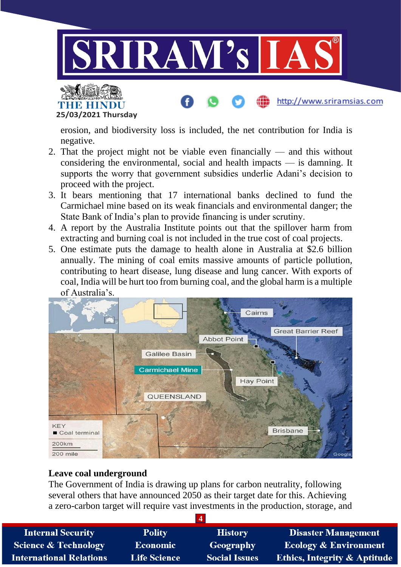

**THE HINDU 25/03/2021 Thursday**

erosion, and biodiversity loss is included, the net contribution for India is negative.

http://www.sriramsias.com

- 2. That the project might not be viable even financially and this without considering the environmental, social and health impacts — is damning. It supports the worry that government subsidies underlie Adani's decision to proceed with the project.
- 3. It bears mentioning that 17 international banks declined to fund the Carmichael mine based on its weak financials and environmental danger; the State Bank of India's plan to provide financing is under scrutiny.
- 4. A report by the Australia Institute points out that the spillover harm from extracting and burning coal is not included in the true cost of coal projects.
- 5. One estimate puts the damage to health alone in Australia at \$2.6 billion annually. The mining of coal emits massive amounts of particle pollution, contributing to heart disease, lung disease and lung cancer. With exports of coal, India will be hurt too from burning coal, and the global harm is a multiple of Australia's.



#### **Leave coal underground**

The Government of India is drawing up plans for carbon neutrality, following several others that have announced 2050 as their target date for this. Achieving a zero-carbon target will require vast investments in the production, storage, and

| <b>Internal Security</b>        | <b>Polity</b>       | <b>History</b>       | <b>Disaster Management</b>              |
|---------------------------------|---------------------|----------------------|-----------------------------------------|
| <b>Science &amp; Technology</b> | <b>Economic</b>     | Geography            | <b>Ecology &amp; Environment</b>        |
| <b>International Relations</b>  | <b>Life Science</b> | <b>Social Issues</b> | <b>Ethics, Integrity &amp; Aptitude</b> |